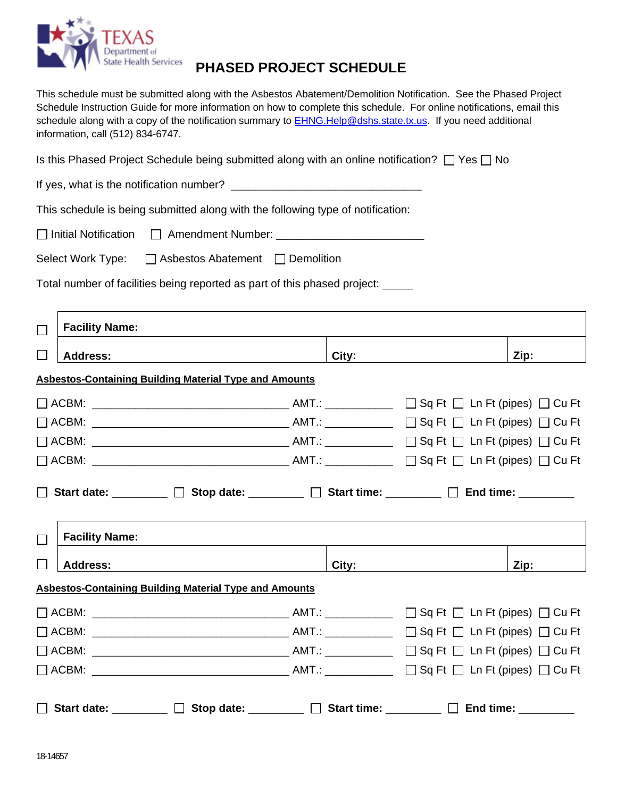

## **PHASED PROJECT SCHEDULE**

This schedule must be submitted along with the Asbestos Abatement/Demolition Notification. See the Phased Project Schedule Instruction Guide for more information on how to complete this schedule. For online notifications, email this schedule along with a copy of the notification summary to **EHNG.Help@dshs.state.tx.us.** If you need additional information, call (512) 834-6747.

Is this Phased Project Schedule being submitted along with an online notification?  $\Box$  Yes  $\Box$  No

If yes, what is the notification number? \_\_\_\_\_\_\_\_\_\_\_\_\_\_\_\_\_\_\_\_\_\_\_\_\_\_\_\_\_\_\_

This schedule is being submitted along with the following type of notification:

 $\Box$  Initial Notification  $\Box$  Amendment Number:  $\Box$ 

Select Work Type:  $\Box$  Asbestos Abatement  $\Box$  Demolition

Total number of facilities being reported as part of this phased project:

| <b>Facility Name:</b><br>П                                                                                                                    |       |      |  |  |  |  |  |
|-----------------------------------------------------------------------------------------------------------------------------------------------|-------|------|--|--|--|--|--|
| $\vert \ \ \vert$<br><b>Address:</b>                                                                                                          | City: | Zip: |  |  |  |  |  |
| <b>Asbestos-Containing Building Material Type and Amounts</b>                                                                                 |       |      |  |  |  |  |  |
|                                                                                                                                               |       |      |  |  |  |  |  |
|                                                                                                                                               |       |      |  |  |  |  |  |
|                                                                                                                                               |       |      |  |  |  |  |  |
|                                                                                                                                               |       |      |  |  |  |  |  |
| $\Box$ Start date: ________ $\Box$ Stop date: _______ $\Box$ Start time: _______ $\Box$ End time: ________<br><b>Facility Name:</b><br>$\Box$ |       |      |  |  |  |  |  |
| <b>Address:</b>                                                                                                                               |       | Zip: |  |  |  |  |  |
| <b>Asbestos-Containing Building Material Type and Amounts</b>                                                                                 |       |      |  |  |  |  |  |
|                                                                                                                                               |       |      |  |  |  |  |  |
|                                                                                                                                               |       |      |  |  |  |  |  |
|                                                                                                                                               |       |      |  |  |  |  |  |
|                                                                                                                                               |       |      |  |  |  |  |  |
| $\Box$ Start date: ________ $\Box$ Stop date: _______ $\Box$ Start time: _______ $\Box$ End time: _______                                     |       |      |  |  |  |  |  |